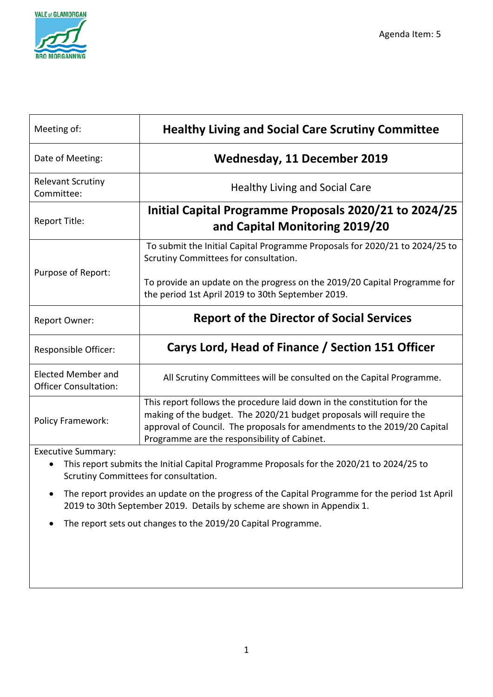

| Meeting of:                                                   | <b>Healthy Living and Social Care Scrutiny Committee</b>                                                                                                                                                                                                                   |
|---------------------------------------------------------------|----------------------------------------------------------------------------------------------------------------------------------------------------------------------------------------------------------------------------------------------------------------------------|
| Date of Meeting:                                              | <b>Wednesday, 11 December 2019</b>                                                                                                                                                                                                                                         |
| <b>Relevant Scrutiny</b><br>Committee:                        | <b>Healthy Living and Social Care</b>                                                                                                                                                                                                                                      |
| Report Title:                                                 | Initial Capital Programme Proposals 2020/21 to 2024/25<br>and Capital Monitoring 2019/20                                                                                                                                                                                   |
| Purpose of Report:                                            | To submit the Initial Capital Programme Proposals for 2020/21 to 2024/25 to<br>Scrutiny Committees for consultation.<br>To provide an update on the progress on the 2019/20 Capital Programme for<br>the period 1st April 2019 to 30th September 2019.                     |
| Report Owner:                                                 | <b>Report of the Director of Social Services</b>                                                                                                                                                                                                                           |
| Responsible Officer:                                          | Carys Lord, Head of Finance / Section 151 Officer                                                                                                                                                                                                                          |
| <b>Elected Member and</b><br><b>Officer Consultation:</b>     | All Scrutiny Committees will be consulted on the Capital Programme.                                                                                                                                                                                                        |
| Policy Framework:<br>$\Gamma$ and an interactional $\Gamma$ . | This report follows the procedure laid down in the constitution for the<br>making of the budget. The 2020/21 budget proposals will require the<br>approval of Council. The proposals for amendments to the 2019/20 Capital<br>Programme are the responsibility of Cabinet. |

Executive Summary:

- This report submits the Initial Capital Programme Proposals for the 2020/21 to 2024/25 to Scrutiny Committees for consultation.
- The report provides an update on the progress of the Capital Programme for the period 1st April 2019 to 30th September 2019. Details by scheme are shown in Appendix 1.
- The report sets out changes to the 2019/20 Capital Programme.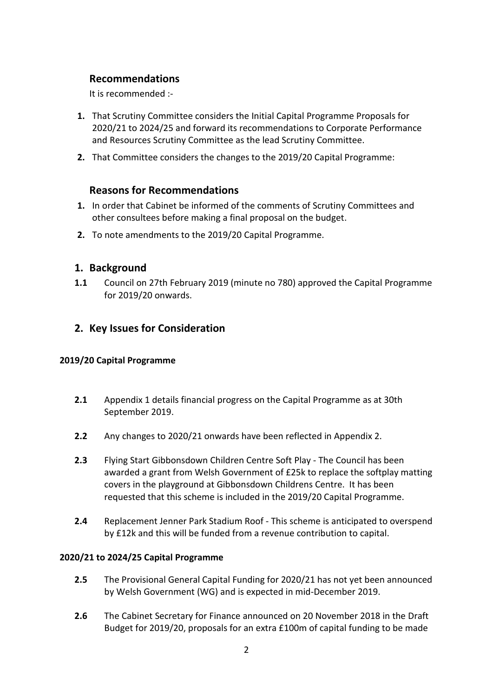## **Recommendations**

It is recommended :-

- **1.** That Scrutiny Committee considers the Initial Capital Programme Proposals for 2020/21 to 2024/25 and forward its recommendations to Corporate Performance and Resources Scrutiny Committee as the lead Scrutiny Committee.
- **2.** That Committee considers the changes to the 2019/20 Capital Programme:

## **Reasons for Recommendations**

- **1.** In order that Cabinet be informed of the comments of Scrutiny Committees and other consultees before making a final proposal on the budget.
- **2.** To note amendments to the 2019/20 Capital Programme.

## **1. Background**

**1.1** Council on 27th February 2019 (minute no 780) approved the Capital Programme for 2019/20 onwards.

## **2. Key Issues for Consideration**

## **2019/20 Capital Programme**

- **2.1** Appendix 1 details financial progress on the Capital Programme as at 30th September 2019.
- **2.2** Any changes to 2020/21 onwards have been reflected in Appendix 2.
- **2.3** Flying Start Gibbonsdown Children Centre Soft Play The Council has been awarded a grant from Welsh Government of £25k to replace the softplay matting covers in the playground at Gibbonsdown Childrens Centre. It has been requested that this scheme is included in the 2019/20 Capital Programme.
- **2.4** Replacement Jenner Park Stadium Roof This scheme is anticipated to overspend by £12k and this will be funded from a revenue contribution to capital.

## **2020/21 to 2024/25 Capital Programme**

- **2.5** The Provisional General Capital Funding for 2020/21 has not yet been announced by Welsh Government (WG) and is expected in mid-December 2019.
- **2.6** The Cabinet Secretary for Finance announced on 20 November 2018 in the Draft Budget for 2019/20, proposals for an extra £100m of capital funding to be made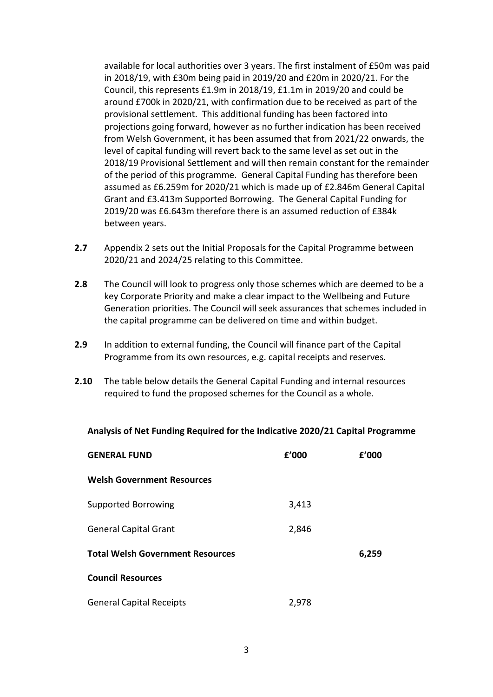available for local authorities over 3 years. The first instalment of £50m was paid in 2018/19, with £30m being paid in 2019/20 and £20m in 2020/21. For the Council, this represents £1.9m in 2018/19, £1.1m in 2019/20 and could be around £700k in 2020/21, with confirmation due to be received as part of the provisional settlement. This additional funding has been factored into projections going forward, however as no further indication has been received from Welsh Government, it has been assumed that from 2021/22 onwards, the level of capital funding will revert back to the same level as set out in the 2018/19 Provisional Settlement and will then remain constant for the remainder of the period of this programme. General Capital Funding has therefore been assumed as £6.259m for 2020/21 which is made up of £2.846m General Capital Grant and £3.413m Supported Borrowing. The General Capital Funding for 2019/20 was £6.643m therefore there is an assumed reduction of £384k between years.

- **2.7** Appendix 2 sets out the Initial Proposals for the Capital Programme between 2020/21 and 2024/25 relating to this Committee.
- **2.8** The Council will look to progress only those schemes which are deemed to be a key Corporate Priority and make a clear impact to the Wellbeing and Future Generation priorities. The Council will seek assurances that schemes included in the capital programme can be delivered on time and within budget.
- **2.9** In addition to external funding, the Council will finance part of the Capital Programme from its own resources, e.g. capital receipts and reserves.
- **2.10** The table below details the General Capital Funding and internal resources required to fund the proposed schemes for the Council as a whole.

| Analysis of Net Funding Required for the Indicative 2020/21 Capital Programme |  |
|-------------------------------------------------------------------------------|--|
|-------------------------------------------------------------------------------|--|

| <b>GENERAL FUND</b>                     | £'000 | f'000 |
|-----------------------------------------|-------|-------|
| <b>Welsh Government Resources</b>       |       |       |
| <b>Supported Borrowing</b>              | 3,413 |       |
| <b>General Capital Grant</b>            | 2,846 |       |
| <b>Total Welsh Government Resources</b> |       | 6,259 |
| <b>Council Resources</b>                |       |       |
| <b>General Capital Receipts</b>         | 2,978 |       |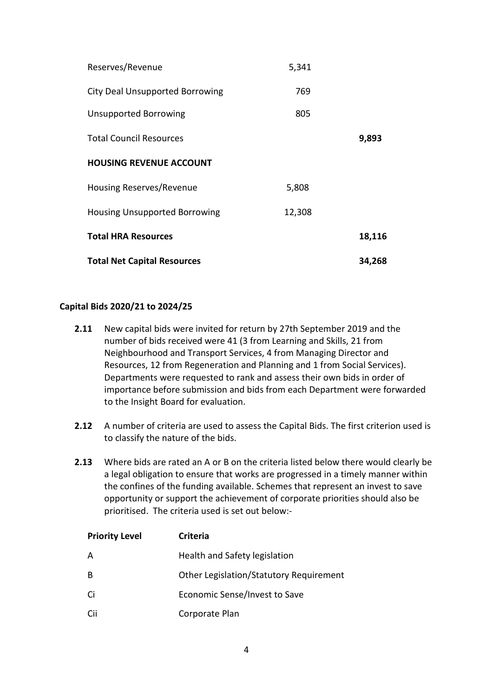| <b>Total Net Capital Resources</b>     |        | 34,268 |
|----------------------------------------|--------|--------|
| <b>Total HRA Resources</b>             |        | 18,116 |
| <b>Housing Unsupported Borrowing</b>   | 12,308 |        |
| Housing Reserves/Revenue               | 5,808  |        |
| <b>HOUSING REVENUE ACCOUNT</b>         |        |        |
| <b>Total Council Resources</b>         |        | 9,893  |
| <b>Unsupported Borrowing</b>           | 805    |        |
| <b>City Deal Unsupported Borrowing</b> | 769    |        |
| Reserves/Revenue                       | 5,341  |        |

#### **Capital Bids 2020/21 to 2024/25**

- **2.11** New capital bids were invited for return by 27th September 2019 and the number of bids received were 41 (3 from Learning and Skills, 21 from Neighbourhood and Transport Services, 4 from Managing Director and Resources, 12 from Regeneration and Planning and 1 from Social Services). Departments were requested to rank and assess their own bids in order of importance before submission and bids from each Department were forwarded to the Insight Board for evaluation.
- 2.12 A number of criteria are used to assess the Capital Bids. The first criterion used is to classify the nature of the bids.
- **2.13** Where bids are rated an A or B on the criteria listed below there would clearly be a legal obligation to ensure that works are progressed in a timely manner within the confines of the funding available. Schemes that represent an invest to save opportunity or support the achievement of corporate priorities should also be prioritised. The criteria used is set out below:-

| <b>Priority Level</b> | <b>Criteria</b>                         |
|-----------------------|-----------------------------------------|
| A                     | Health and Safety legislation           |
| B                     | Other Legislation/Statutory Requirement |
| Ci                    | Economic Sense/Invest to Save           |
| Cii                   | Corporate Plan                          |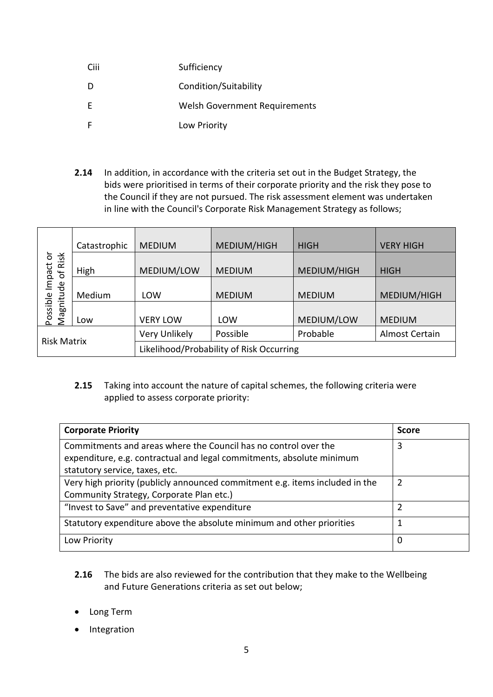| Ciii | Sufficiency                          |
|------|--------------------------------------|
|      | Condition/Suitability                |
| E    | <b>Welsh Government Requirements</b> |
|      | Low Priority                         |

**2.14** In addition, in accordance with the criteria set out in the Budget Strategy, the bids were prioritised in terms of their corporate priority and the risk they pose to the Council if they are not pursued. The risk assessment element was undertaken in line with the Council's Corporate Risk Management Strategy as follows;

|                                 | Catastrophic                                                   | <b>MEDIUM</b>   | MEDIUM/HIGH   | <b>HIGH</b>   | <b>VERY HIGH</b> |  |
|---------------------------------|----------------------------------------------------------------|-----------------|---------------|---------------|------------------|--|
| ŏ<br>Risk<br>Impact<br>$\sigma$ | High                                                           | MEDIUM/LOW      | <b>MEDIUM</b> | MEDIUM/HIGH   | <b>HIGH</b>      |  |
|                                 | Medium                                                         | LOW             | <b>MEDIUM</b> | <b>MEDIUM</b> | MEDIUM/HIGH      |  |
| Magnitude<br>Possible           | Low                                                            | <b>VERY LOW</b> | LOW           | MEDIUM/LOW    | <b>MEDIUM</b>    |  |
|                                 |                                                                | Very Unlikely   | Possible      | Probable      | Almost Certain   |  |
|                                 | <b>Risk Matrix</b><br>Likelihood/Probability of Risk Occurring |                 |               |               |                  |  |

### **2.15** Taking into account the nature of capital schemes, the following criteria were applied to assess corporate priority:

| <b>Corporate Priority</b>                                                    | <b>Score</b> |
|------------------------------------------------------------------------------|--------------|
| Commitments and areas where the Council has no control over the              | 3            |
| expenditure, e.g. contractual and legal commitments, absolute minimum        |              |
| statutory service, taxes, etc.                                               |              |
| Very high priority (publicly announced commitment e.g. items included in the | 2            |
| Community Strategy, Corporate Plan etc.)                                     |              |
| "Invest to Save" and preventative expenditure                                | 7            |
| Statutory expenditure above the absolute minimum and other priorities        | 1            |
| Low Priority                                                                 | 0            |

- **2.16** The bids are also reviewed for the contribution that they make to the Wellbeing and Future Generations criteria as set out below;
- Long Term
- Integration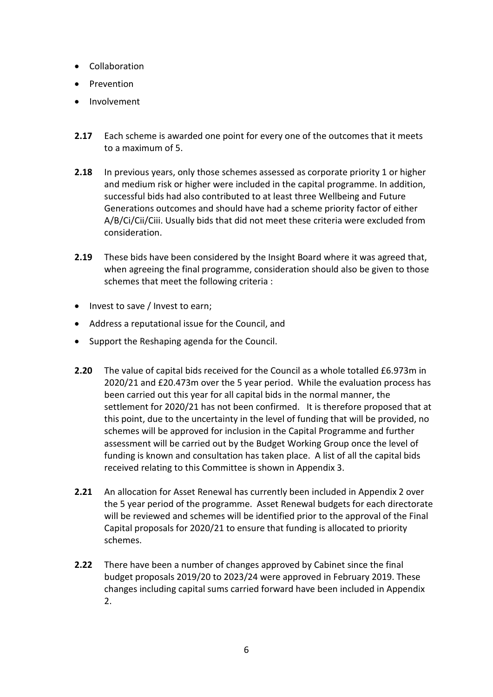- Collaboration
- Prevention
- Involvement
- **2.17** Each scheme is awarded one point for every one of the outcomes that it meets to a maximum of 5.
- **2.18** In previous years, only those schemes assessed as corporate priority 1 or higher and medium risk or higher were included in the capital programme. In addition, successful bids had also contributed to at least three Wellbeing and Future Generations outcomes and should have had a scheme priority factor of either A/B/Ci/Cii/Ciii. Usually bids that did not meet these criteria were excluded from consideration.
- **2.19** These bids have been considered by the Insight Board where it was agreed that, when agreeing the final programme, consideration should also be given to those schemes that meet the following criteria :
- Invest to save / Invest to earn;
- Address a reputational issue for the Council, and
- Support the Reshaping agenda for the Council.
- **2.20** The value of capital bids received for the Council as a whole totalled £6.973m in 2020/21 and £20.473m over the 5 year period. While the evaluation process has been carried out this year for all capital bids in the normal manner, the settlement for 2020/21 has not been confirmed. It is therefore proposed that at this point, due to the uncertainty in the level of funding that will be provided, no schemes will be approved for inclusion in the Capital Programme and further assessment will be carried out by the Budget Working Group once the level of funding is known and consultation has taken place. A list of all the capital bids received relating to this Committee is shown in Appendix 3.
- **2.21** An allocation for Asset Renewal has currently been included in Appendix 2 over the 5 year period of the programme. Asset Renewal budgets for each directorate will be reviewed and schemes will be identified prior to the approval of the Final Capital proposals for 2020/21 to ensure that funding is allocated to priority schemes.
- **2.22** There have been a number of changes approved by Cabinet since the final budget proposals 2019/20 to 2023/24 were approved in February 2019. These changes including capital sums carried forward have been included in Appendix 2.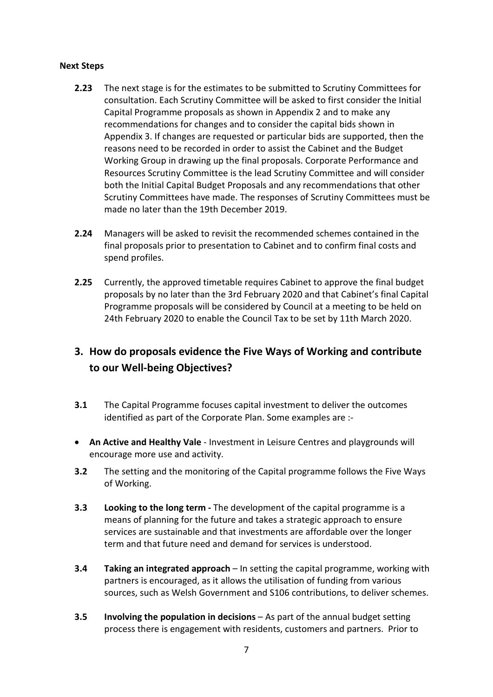#### **Next Steps**

- **2.23** The next stage is for the estimates to be submitted to Scrutiny Committees for consultation. Each Scrutiny Committee will be asked to first consider the Initial Capital Programme proposals as shown in Appendix 2 and to make any recommendations for changes and to consider the capital bids shown in Appendix 3. If changes are requested or particular bids are supported, then the reasons need to be recorded in order to assist the Cabinet and the Budget Working Group in drawing up the final proposals. Corporate Performance and Resources Scrutiny Committee is the lead Scrutiny Committee and will consider both the Initial Capital Budget Proposals and any recommendations that other Scrutiny Committees have made. The responses of Scrutiny Committees must be made no later than the 19th December 2019.
- **2.24** Managers will be asked to revisit the recommended schemes contained in the final proposals prior to presentation to Cabinet and to confirm final costs and spend profiles.
- **2.25** Currently, the approved timetable requires Cabinet to approve the final budget proposals by no later than the 3rd February 2020 and that Cabinet's final Capital Programme proposals will be considered by Council at a meeting to be held on 24th February 2020 to enable the Council Tax to be set by 11th March 2020.

# **3. How do proposals evidence the Five Ways of Working and contribute to our Well-being Objectives?**

- **3.1** The Capital Programme focuses capital investment to deliver the outcomes identified as part of the Corporate Plan. Some examples are :-
- **An Active and Healthy Vale** Investment in Leisure Centres and playgrounds will encourage more use and activity.
- **3.2** The setting and the monitoring of the Capital programme follows the Five Ways of Working.
- **3.3 Looking to the long term -** The development of the capital programme is a means of planning for the future and takes a strategic approach to ensure services are sustainable and that investments are affordable over the longer term and that future need and demand for services is understood.
- **3.4 Taking an integrated approach** In setting the capital programme, working with partners is encouraged, as it allows the utilisation of funding from various sources, such as Welsh Government and S106 contributions, to deliver schemes.
- **3.5 Involving the population in decisions** As part of the annual budget setting process there is engagement with residents, customers and partners. Prior to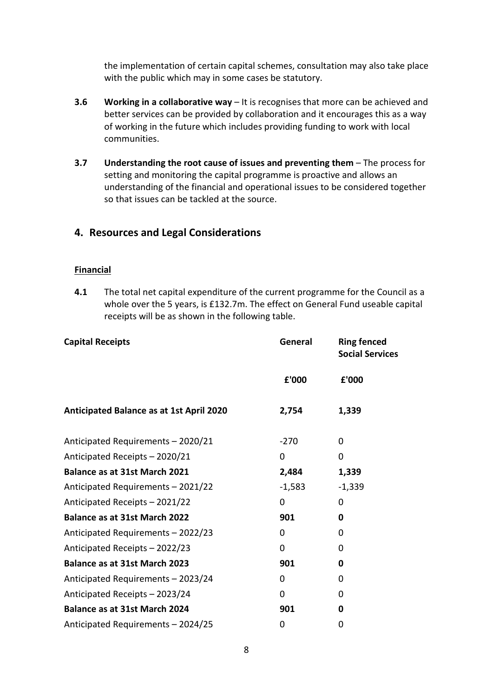the implementation of certain capital schemes, consultation may also take place with the public which may in some cases be statutory.

- **3.6 Working in a collaborative way** It is recognises that more can be achieved and better services can be provided by collaboration and it encourages this as a way of working in the future which includes providing funding to work with local communities.
- **3.7 Understanding the root cause of issues and preventing them** The process for setting and monitoring the capital programme is proactive and allows an understanding of the financial and operational issues to be considered together so that issues can be tackled at the source.

## **4. Resources and Legal Considerations**

#### **Financial**

**4.1** The total net capital expenditure of the current programme for the Council as a whole over the 5 years, is £132.7m. The effect on General Fund useable capital receipts will be as shown in the following table.

| <b>Capital Receipts</b>                         | General  | <b>Ring fenced</b><br><b>Social Services</b> |  |
|-------------------------------------------------|----------|----------------------------------------------|--|
|                                                 | £'000    | £'000                                        |  |
| <b>Anticipated Balance as at 1st April 2020</b> | 2,754    | 1,339                                        |  |
| Anticipated Requirements - 2020/21              | $-270$   | 0                                            |  |
| Anticipated Receipts - 2020/21                  | $\Omega$ | 0                                            |  |
| Balance as at 31st March 2021                   | 2,484    | 1,339                                        |  |
| Anticipated Requirements - 2021/22              | $-1,583$ | $-1,339$                                     |  |
| Anticipated Receipts - 2021/22                  | 0        | 0                                            |  |
| <b>Balance as at 31st March 2022</b>            | 901      | 0                                            |  |
| Anticipated Requirements - 2022/23              | 0        | 0                                            |  |
| Anticipated Receipts - 2022/23                  | 0        | 0                                            |  |
| <b>Balance as at 31st March 2023</b>            | 901      | 0                                            |  |
| Anticipated Requirements - 2023/24              | 0        | 0                                            |  |
| Anticipated Receipts - 2023/24                  | 0        | 0                                            |  |
| <b>Balance as at 31st March 2024</b>            | 901      | 0                                            |  |
| Anticipated Requirements - 2024/25              | 0        | 0                                            |  |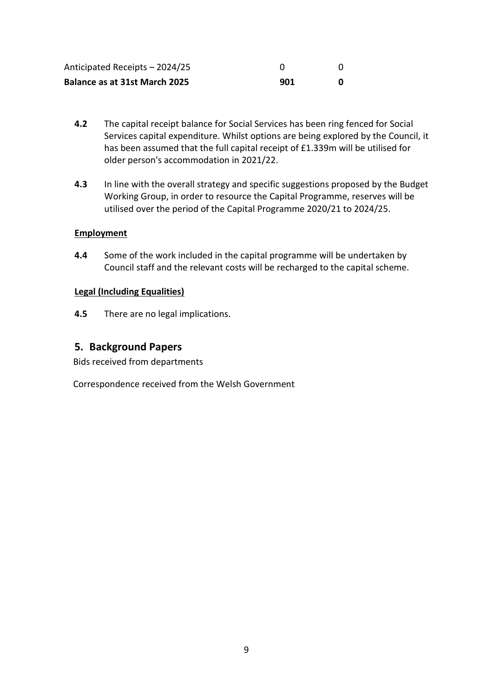| Anticipated Receipts - 2024/25       |     |  |
|--------------------------------------|-----|--|
| <b>Balance as at 31st March 2025</b> | 901 |  |

- **4.2** The capital receipt balance for Social Services has been ring fenced for Social Services capital expenditure. Whilst options are being explored by the Council, it has been assumed that the full capital receipt of £1.339m will be utilised for older person's accommodation in 2021/22.
- **4.3** In line with the overall strategy and specific suggestions proposed by the Budget Working Group, in order to resource the Capital Programme, reserves will be utilised over the period of the Capital Programme 2020/21 to 2024/25.

#### **Employment**

**4.4** Some of the work included in the capital programme will be undertaken by Council staff and the relevant costs will be recharged to the capital scheme.

#### **Legal (Including Equalities)**

**4.5** There are no legal implications.

#### **5. Background Papers**

Bids received from departments

Correspondence received from the Welsh Government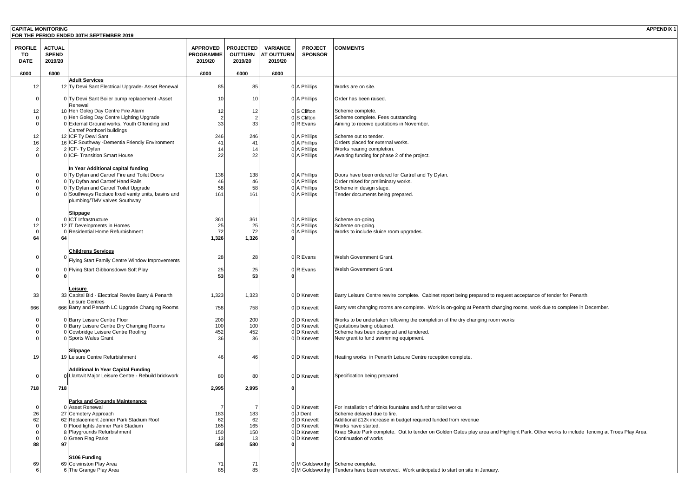| <b>CAPITAL MONITORING</b>           |                                          |                                                                                   |                                                |                                               |                                                 |                                  | <b>APPENDIX1</b>                                                                                                                         |
|-------------------------------------|------------------------------------------|-----------------------------------------------------------------------------------|------------------------------------------------|-----------------------------------------------|-------------------------------------------------|----------------------------------|------------------------------------------------------------------------------------------------------------------------------------------|
|                                     |                                          | FOR THE PERIOD ENDED 30TH SEPTEMBER 2019                                          |                                                |                                               |                                                 |                                  |                                                                                                                                          |
| <b>PROFILE</b><br>то<br><b>DATE</b> | <b>ACTUAL</b><br><b>SPEND</b><br>2019/20 |                                                                                   | <b>APPROVED</b><br><b>PROGRAMME</b><br>2019/20 | <b>PROJECTED</b><br><b>OUTTURN</b><br>2019/20 | <b>VARIANCE</b><br><b>AT OUTTURN</b><br>2019/20 | <b>PROJECT</b><br><b>SPONSOR</b> | <b>COMMENTS</b>                                                                                                                          |
| £000                                | £000                                     |                                                                                   | £000                                           | £000                                          | £000                                            |                                  |                                                                                                                                          |
| 12                                  |                                          | <b>Adult Services</b><br>12 Ty Dewi Sant Electrical Upgrade- Asset Renewal        | 85                                             | 85                                            |                                                 | 0 A Phillips                     | Works are on site.                                                                                                                       |
|                                     |                                          | 0 Ty Dewi Sant Boiler pump replacement - Asset<br>Renewal                         | 10                                             | 10                                            |                                                 | 0 A Phillips                     | Order has been raised.                                                                                                                   |
| 12                                  |                                          | 10 Hen Goleg Day Centre Fire Alarm                                                | 12                                             | 12                                            |                                                 | 0 S Clifton                      | Scheme complete.                                                                                                                         |
|                                     |                                          | 0 Hen Goleg Day Centre Lighting Upgrade                                           | $\overline{2}$                                 | $\overline{2}$                                |                                                 | 0 S Clifton                      | Scheme complete. Fees outstanding.                                                                                                       |
|                                     |                                          | 0 External Ground works, Youth Offending and<br>Cartref Porthceri buildings       | 33                                             | 33                                            |                                                 | 0 R Evans                        | Aiming to receive quotations in November.                                                                                                |
| 12                                  |                                          | 12 ICF Ty Dewi Sant                                                               | 246                                            | 246                                           |                                                 | 0 A Phillips                     | Scheme out to tender.                                                                                                                    |
| 16                                  |                                          | 16 ICF Southway - Dementia Friendly Environment<br>2 ICF- Ty Dyfan                | 41                                             | 41<br>14                                      |                                                 | 0 A Phillips                     | Orders placed for external works.<br>Works nearing completion.                                                                           |
|                                     |                                          | 0 ICF- Transition Smart House                                                     | 14<br>22                                       | 22                                            |                                                 | 0 A Phillips<br>0 A Phillips     | Awaiting funding for phase 2 of the project.                                                                                             |
|                                     |                                          |                                                                                   |                                                |                                               |                                                 |                                  |                                                                                                                                          |
|                                     |                                          | In Year Additional capital funding                                                |                                                |                                               |                                                 |                                  |                                                                                                                                          |
|                                     |                                          | 0 Ty Dyfan and Cartref Fire and Toilet Doors<br>0 Ty Dyfan and Cartref Hand Rails | 138<br>46                                      | 138<br>46                                     |                                                 | 0 A Phillips<br>0 A Phillips     | Doors have been ordered for Cartref and Ty Dyfan.<br>Order raised for preliminary works.                                                 |
|                                     |                                          | 0 Ty Dyfan and Cartref Toilet Upgrade                                             | 58                                             | 58                                            |                                                 | 0 A Phillips                     | Scheme in design stage.                                                                                                                  |
|                                     |                                          | 0 Southways Replace fixed vanity units, basins and                                | 161                                            | 161                                           |                                                 | 0 A Phillips                     | Tender documents being prepared.                                                                                                         |
|                                     |                                          | plumbing/TMV valves Southway                                                      |                                                |                                               |                                                 |                                  |                                                                                                                                          |
|                                     |                                          | Slippage                                                                          |                                                |                                               |                                                 |                                  |                                                                                                                                          |
|                                     |                                          | 0 ICT Infrastructure                                                              | 361                                            | 361                                           |                                                 | 0 A Phillips                     | Scheme on-going.                                                                                                                         |
| 12                                  |                                          | 12 IT Developments in Homes                                                       | 25                                             | 25                                            |                                                 | 0 A Phillips                     | Scheme on-going.                                                                                                                         |
|                                     |                                          | 0 Residential Home Refurbishment                                                  | 72                                             | 72                                            |                                                 | 0 A Phillips                     | Works to include sluice room upgrades.                                                                                                   |
| 64                                  | 64                                       |                                                                                   | 1,326                                          | 1,326                                         |                                                 |                                  |                                                                                                                                          |
|                                     |                                          | <b>Childrens Services</b>                                                         |                                                |                                               |                                                 |                                  |                                                                                                                                          |
|                                     |                                          | Flying Start Family Centre Window Improvements                                    | 28                                             | 28                                            |                                                 | 0 R Evans                        | Welsh Government Grant.                                                                                                                  |
|                                     |                                          | 0 Flying Start Gibbonsdown Soft Play                                              | 25                                             | 25                                            |                                                 | 0 R Evans                        | Welsh Government Grant.                                                                                                                  |
|                                     |                                          |                                                                                   | 53                                             | 53                                            |                                                 |                                  |                                                                                                                                          |
|                                     |                                          | Leisure                                                                           |                                                |                                               |                                                 |                                  |                                                                                                                                          |
| 33                                  |                                          | 33 Capital Bid - Electrical Rewire Barry & Penarth                                | 1,323                                          | 1,323                                         |                                                 | 0 D Knevett                      | Barry Leisure Centre rewire complete. Cabinet report being prepared to request acceptance of tender for Penarth.                         |
| 666                                 |                                          | Leisure Centres<br>666 Barry and Penarth LC Upgrade Changing Rooms                | 758                                            | 758                                           |                                                 | 0 D Knevett                      | Barry wet changing rooms are complete. Work is on-going at Penarth changing rooms, work due to complete in December.                     |
|                                     |                                          |                                                                                   |                                                |                                               |                                                 |                                  |                                                                                                                                          |
|                                     |                                          | 0 Barry Leisure Centre Floor<br>0 Barry Leisure Centre Dry Changing Rooms         | 200<br>100                                     | 200<br>100                                    |                                                 | 0 D Knevett<br>0 D Knevett       | Works to be undertaken following the completion of the dry changing room works<br>Quotations being obtained.                             |
|                                     |                                          | 0 Cowbridge Leisure Centre Roofing                                                | 452                                            | 452                                           |                                                 | 0 D Knevett                      | Scheme has been designed and tendered.                                                                                                   |
|                                     |                                          | 0 Sports Wales Grant                                                              | 36                                             | 36                                            |                                                 | 0 D Knevett                      | New grant to fund swimming equipment.                                                                                                    |
|                                     |                                          | Slippage                                                                          |                                                |                                               |                                                 |                                  |                                                                                                                                          |
| 19                                  |                                          | 19 Leisure Centre Refurbishment                                                   | 46                                             | 46                                            |                                                 | 0 D Knevett                      | Heating works in Penarth Leisure Centre reception complete.                                                                              |
|                                     |                                          | <b>Additional In Year Capital Funding</b>                                         |                                                |                                               |                                                 |                                  |                                                                                                                                          |
|                                     |                                          | 0 Llantwit Major Leisure Centre - Rebuild brickwork                               | 80                                             | 80                                            |                                                 | 0 D Knevett                      | Specification being prepared.                                                                                                            |
|                                     |                                          |                                                                                   |                                                |                                               |                                                 |                                  |                                                                                                                                          |
| 718                                 | 718                                      |                                                                                   | 2,995                                          | 2,995                                         |                                                 |                                  |                                                                                                                                          |
|                                     |                                          | <b>Parks and Grounds Maintenance</b>                                              |                                                |                                               |                                                 |                                  |                                                                                                                                          |
|                                     |                                          | 0 Asset Renewal                                                                   | -7                                             | $\overline{7}$                                |                                                 | 0 D Knevett                      | For installation of drinks fountains and further toilet works                                                                            |
| 26                                  |                                          | 27 Cemetery Approach<br>62 Replacement Jenner Park Stadium Roof                   | 183<br>62                                      | 183<br>62                                     |                                                 | 0 J Dent                         | Scheme delayed due to fire.<br>Additional £12k increase in budget required funded from revenue                                           |
| 62                                  |                                          | 0 Flood lights Jenner Park Stadium                                                | 165                                            | 165                                           |                                                 | 0 D Knevett<br>0 D Knevett       | Works have started.                                                                                                                      |
|                                     |                                          | 8 Playgrounds Refurbishment                                                       | 150                                            | 150                                           |                                                 | 0 D Knevett                      | Knap Skate Park complete. Out to tender on Golden Gates play area and Highlight Park. Other works to include fencing at Troes Play Area. |
|                                     |                                          | 0 Green Flag Parks                                                                | 13                                             | 13                                            |                                                 | 0 D Knevett                      | Continuation of works                                                                                                                    |
| 88                                  | 97                                       |                                                                                   | 580                                            | 580                                           |                                                 |                                  |                                                                                                                                          |
|                                     |                                          | S106 Funding                                                                      |                                                |                                               |                                                 |                                  |                                                                                                                                          |
| 69                                  |                                          | 69 Colwinston Play Area                                                           | 71                                             | 71                                            |                                                 |                                  | 0 M Goldsworthy Scheme complete.                                                                                                         |
| 6                                   |                                          | 6 The Grange Play Area                                                            | 85                                             | 85                                            |                                                 |                                  | 0 M Goldsworthy Tenders have been received. Work anticipated to start on site in January.                                                |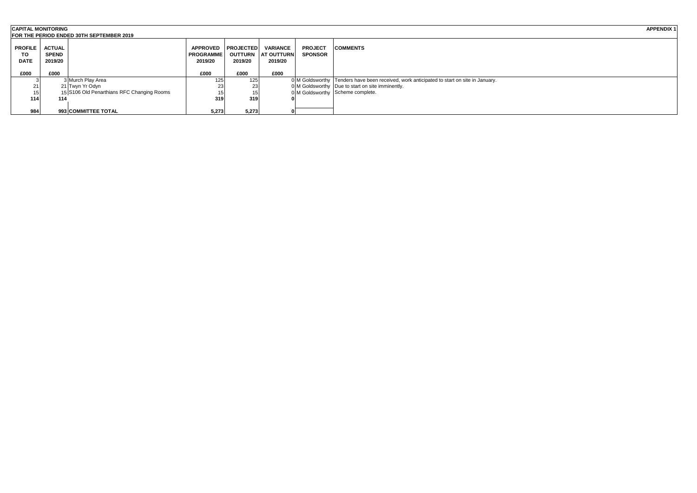| <b>CAPITAL MONITORING</b>     |              | FOR THE PERIOD ENDED 30TH SEPTEMBER 2019   |                                        |         |                                       |                                  | <b>APPENDIX 1</b>                                                                         |
|-------------------------------|--------------|--------------------------------------------|----------------------------------------|---------|---------------------------------------|----------------------------------|-------------------------------------------------------------------------------------------|
| <b>PROFILE</b>   ACTUAL<br>то | <b>SPEND</b> |                                            | APPROVED PROJECTED<br><b>PROGRAMME</b> |         | VARIANCE<br><b>OUTTURN AT OUTTURN</b> | <b>PROJECT</b><br><b>SPONSOR</b> | <b>COMMENTS</b>                                                                           |
| <b>DATE</b>                   | 2019/20      |                                            | 2019/20                                | 2019/20 | 2019/20                               |                                  |                                                                                           |
| £000                          | £000         |                                            | £000                                   | £000    | £000                                  |                                  |                                                                                           |
|                               |              | 3 Murch Play Area                          | 125                                    | 125.    |                                       |                                  | 0 M Goldsworthy Tenders have been received, work anticipated to start on site in January. |
|                               |              | 21 Twyn Yr Odyn                            | 23                                     |         |                                       |                                  | 0 M Goldsworthy Due to start on site imminently.                                          |
|                               |              | 15 S106 Old Penarthians RFC Changing Rooms |                                        |         |                                       |                                  | 0 M Goldsworthy Scheme complete.                                                          |
| 114                           | 114          |                                            | 319                                    | 319     |                                       |                                  |                                                                                           |
|                               |              |                                            |                                        |         |                                       |                                  |                                                                                           |
| 984                           |              | 993 COMMITTEE TOTAL                        | 5.273                                  | 5,273   |                                       |                                  |                                                                                           |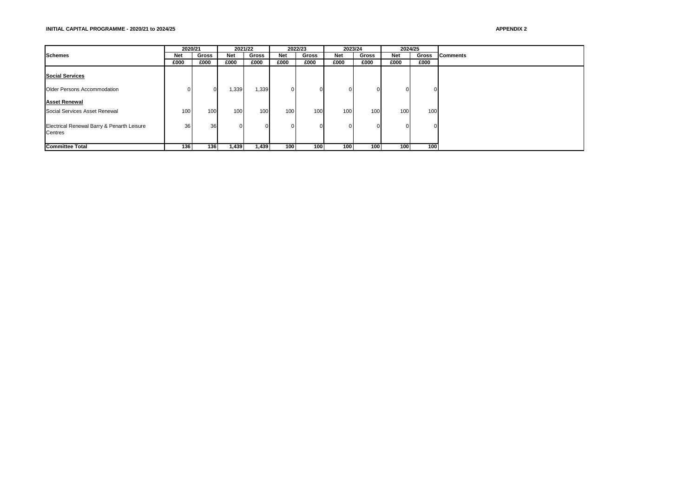#### **INITIAL CAPITAL PROGRAMME - 2020/21 to 2024/25 APPENDIX 2**

|                                                       | 2020/21    |       | 2021/22    |          | 2022/23    |                  | 2023/24    |       | 2024/25    |                |                 |  |
|-------------------------------------------------------|------------|-------|------------|----------|------------|------------------|------------|-------|------------|----------------|-----------------|--|
| <b>Schemes</b>                                        | <b>Net</b> | Gross | <b>Net</b> | Gross    | <b>Net</b> | <b>Gross</b>     | <b>Net</b> | Gross | <b>Net</b> | Gross          | <b>Comments</b> |  |
|                                                       | £000       | £000  | £000       | £000     | £000       | £000             | £000       | £000  | £000       | £000           |                 |  |
| <b>Social Services</b>                                |            |       |            |          |            |                  |            |       |            |                |                 |  |
| Older Persons Accommodation                           |            |       | 1,339      | 1,339    | 0          | ΩI               |            |       | $\Omega$   | $\circ$        |                 |  |
| <b>Asset Renewal</b>                                  |            |       |            |          |            |                  |            |       |            |                |                 |  |
| Social Services Asset Renewal                         | 100        | 100   | 100        | 100      | 100        | 100 <sup>1</sup> | 100        | 100   | 100        | 100            |                 |  |
| Electrical Renewal Barry & Penarth Leisure<br>Centres | 36         | 36    | O          | $\Omega$ | ΩI         | $\Omega$         |            |       | $\Omega$   | $\overline{0}$ |                 |  |
| <b>Committee Total</b>                                | 136        | 136   | 1,439      | 1,439    | 100        | 100 <sub>1</sub> | 100        | 100   | 100        | 100            |                 |  |